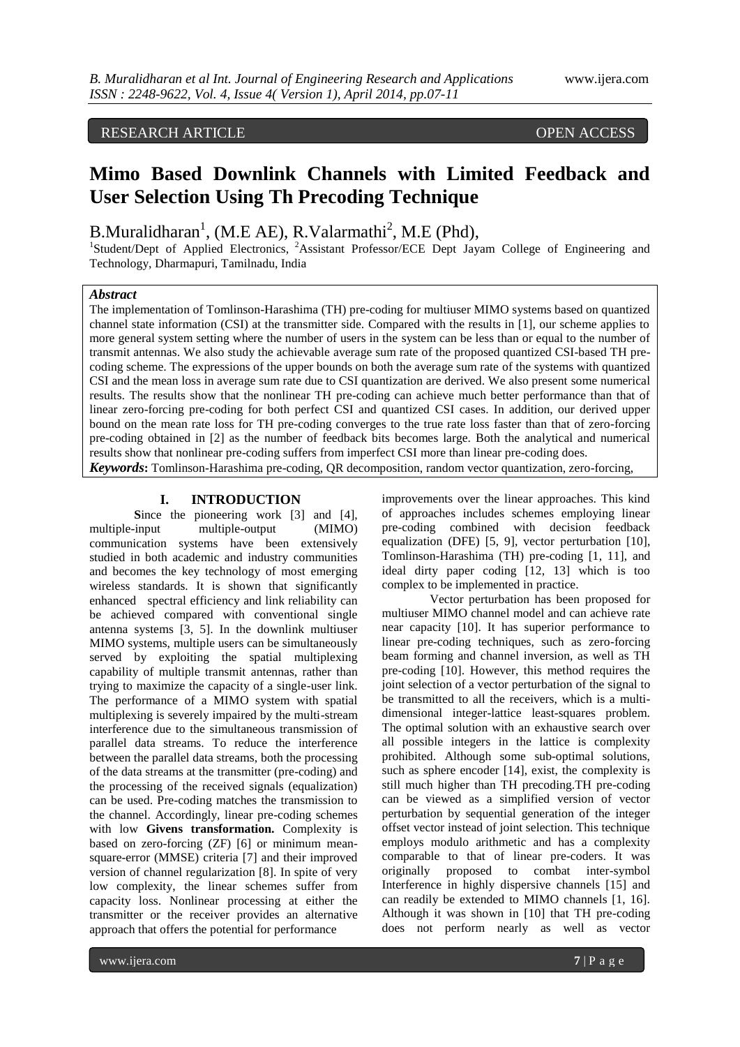## RESEARCH ARTICLE **CONFIDENTIAL CONFIDENTIAL CONFIDENTIAL CONFIDENTIAL CONFIDENTIAL CONFIDENTIAL CONFIDENTIAL CONFIDENTIAL CONFIDENTIAL CONFIDENTIAL CONFIDENTIAL CONFIDENTIAL CONFIDENTIAL CONFIDENTIAL CONFIDENTIAL CONFIDENT**

# **Mimo Based Downlink Channels with Limited Feedback and User Selection Using Th Precoding Technique**

B.Muralidharan<sup>1</sup>, (M.E AE), R.Valarmathi<sup>2</sup>, M.E (Phd),

<sup>1</sup>Student/Dept of Applied Electronics, <sup>2</sup>Assistant Professor/ECE Dept Jayam College of Engineering and Technology, Dharmapuri, Tamilnadu, India

## *Abstract*

The implementation of Tomlinson-Harashima (TH) pre-coding for multiuser MIMO systems based on quantized channel state information (CSI) at the transmitter side. Compared with the results in [1], our scheme applies to more general system setting where the number of users in the system can be less than or equal to the number of transmit antennas. We also study the achievable average sum rate of the proposed quantized CSI-based TH precoding scheme. The expressions of the upper bounds on both the average sum rate of the systems with quantized CSI and the mean loss in average sum rate due to CSI quantization are derived. We also present some numerical results. The results show that the nonlinear TH pre-coding can achieve much better performance than that of linear zero-forcing pre-coding for both perfect CSI and quantized CSI cases. In addition, our derived upper bound on the mean rate loss for TH pre-coding converges to the true rate loss faster than that of zero-forcing pre-coding obtained in [2] as the number of feedback bits becomes large. Both the analytical and numerical results show that nonlinear pre-coding suffers from imperfect CSI more than linear pre-coding does.

*Keywords***:** Tomlinson-Harashima pre-coding, QR decomposition, random vector quantization, zero-forcing,

## **I. INTRODUCTION**

Since the pioneering work [3] and [4], multiple-input multiple-output (MIMO) communication systems have been extensively studied in both academic and industry communities and becomes the key technology of most emerging wireless standards. It is shown that significantly enhanced spectral efficiency and link reliability can be achieved compared with conventional single antenna systems [3, 5]. In the downlink multiuser MIMO systems, multiple users can be simultaneously served by exploiting the spatial multiplexing capability of multiple transmit antennas, rather than trying to maximize the capacity of a single-user link. The performance of a MIMO system with spatial multiplexing is severely impaired by the multi-stream interference due to the simultaneous transmission of parallel data streams. To reduce the interference between the parallel data streams, both the processing of the data streams at the transmitter (pre-coding) and the processing of the received signals (equalization) can be used. Pre-coding matches the transmission to the channel. Accordingly, linear pre-coding schemes with low **Givens transformation.** Complexity is based on zero-forcing (ZF) [6] or minimum meansquare-error (MMSE) criteria [7] and their improved version of channel regularization [8]. In spite of very low complexity, the linear schemes suffer from capacity loss. Nonlinear processing at either the transmitter or the receiver provides an alternative approach that offers the potential for performance

improvements over the linear approaches. This kind of approaches includes schemes employing linear pre-coding combined with decision feedback equalization (DFE) [5, 9], vector perturbation [10], Tomlinson-Harashima (TH) pre-coding [1, 11], and ideal dirty paper coding [12, 13] which is too complex to be implemented in practice.

Vector perturbation has been proposed for multiuser MIMO channel model and can achieve rate near capacity [10]. It has superior performance to linear pre-coding techniques, such as zero-forcing beam forming and channel inversion, as well as TH pre-coding [10]. However, this method requires the joint selection of a vector perturbation of the signal to be transmitted to all the receivers, which is a multidimensional integer-lattice least-squares problem. The optimal solution with an exhaustive search over all possible integers in the lattice is complexity prohibited. Although some sub-optimal solutions, such as sphere encoder [14], exist, the complexity is still much higher than TH precoding.TH pre-coding can be viewed as a simplified version of vector perturbation by sequential generation of the integer offset vector instead of joint selection. This technique employs modulo arithmetic and has a complexity comparable to that of linear pre-coders. It was originally proposed to combat inter-symbol Interference in highly dispersive channels [15] and can readily be extended to MIMO channels [1, 16]. Although it was shown in [10] that TH pre-coding does not perform nearly as well as vector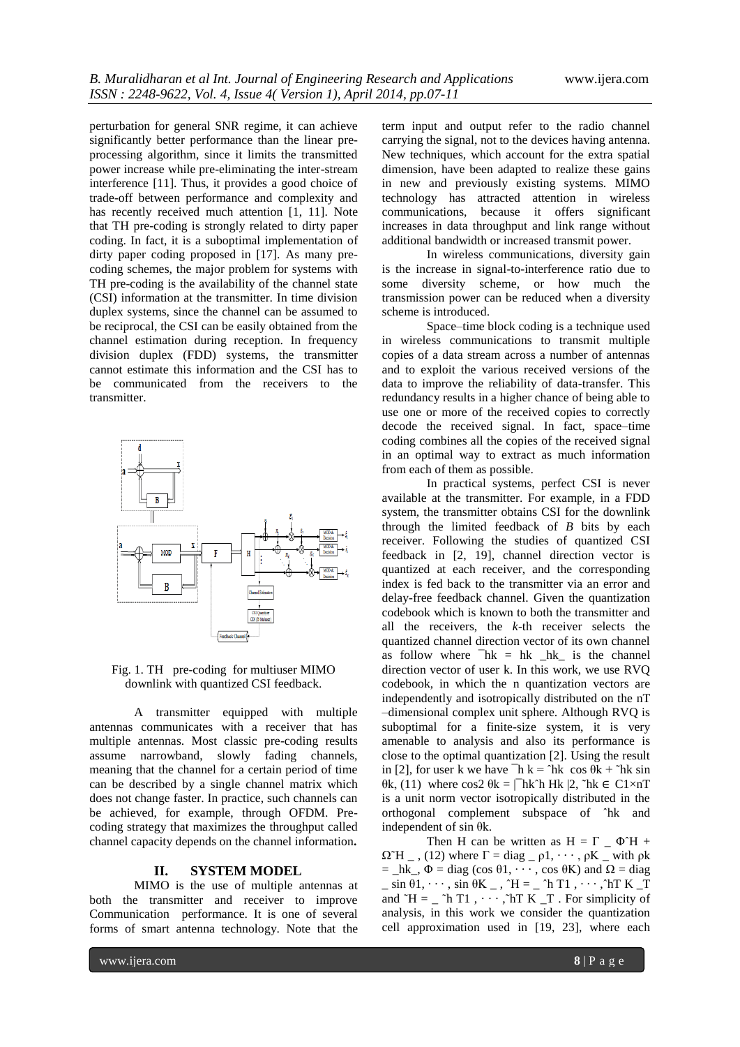perturbation for general SNR regime, it can achieve significantly better performance than the linear preprocessing algorithm, since it limits the transmitted power increase while pre-eliminating the inter-stream interference [11]. Thus, it provides a good choice of trade-off between performance and complexity and has recently received much attention [1, 11]. Note that TH pre-coding is strongly related to dirty paper coding. In fact, it is a suboptimal implementation of dirty paper coding proposed in [17]. As many precoding schemes, the major problem for systems with TH pre-coding is the availability of the channel state (CSI) information at the transmitter. In time division duplex systems, since the channel can be assumed to be reciprocal, the CSI can be easily obtained from the channel estimation during reception. In frequency division duplex (FDD) systems, the transmitter cannot estimate this information and the CSI has to be communicated from the receivers to the transmitter.



Fig. 1. TH pre-coding for multiuser MIMO downlink with quantized CSI feedback.

A transmitter equipped with multiple antennas communicates with a receiver that has multiple antennas. Most classic pre-coding results assume narrowband, slowly fading channels, meaning that the channel for a certain period of time can be described by a single channel matrix which does not change faster. In practice, such channels can be achieved, for example, through OFDM. Precoding strategy that maximizes the throughput called channel capacity depends on the channel information**.**

#### **II. SYSTEM MODEL**

MIMO is the use of multiple antennas at both the transmitter and receiver to improve Communication performance. It is one of several forms of smart antenna technology. Note that the

term input and output refer to the radio channel carrying the signal, not to the devices having antenna. New techniques, which account for the extra spatial dimension, have been adapted to realize these gains in new and previously existing systems. MIMO technology has attracted attention in wireless communications, because it offers significant increases in data throughput and link range without additional bandwidth or increased transmit power.

In wireless communications, diversity gain is the increase in signal-to-interference ratio due to some diversity scheme, or how much the transmission power can be reduced when a diversity scheme is introduced.

Space–time block coding is a technique used in wireless communications to transmit multiple copies of a data stream across a number of antennas and to exploit the various received versions of the data to improve the reliability of data-transfer. This redundancy results in a higher chance of being able to use one or more of the received copies to correctly decode the received signal. In fact, space–time coding combines all the copies of the received signal in an optimal way to extract as much information from each of them as possible.

In practical systems, perfect CSI is never available at the transmitter. For example, in a FDD system, the transmitter obtains CSI for the downlink through the limited feedback of *B* bits by each receiver. Following the studies of quantized CSI feedback in [2, 19], channel direction vector is quantized at each receiver, and the corresponding index is fed back to the transmitter via an error and delay-free feedback channel. Given the quantization codebook which is known to both the transmitter and all the receivers, the *k*-th receiver selects the quantized channel direction vector of its own channel as follow where  $\bar{h}$  = hk  $\bar{h}$  hk is the channel direction vector of user k. In this work, we use RVQ codebook, in which the n quantization vectors are independently and isotropically distributed on the nT –dimensional complex unit sphere. Although RVQ is suboptimal for a finite-size system, it is very amenable to analysis and also its performance is close to the optimal quantization [2]. Using the result in [2], for user k we have  $\bar{h}$  k =  $\hat{h}$ k cos  $\theta$ k +  $\hat{h}$ k sin  $θ$ k, (11) where cos2  $θ$ k = |<sup>−</sup>hk<sup> $λ$ </sup>h Hk |2,  $^τ$ hk ∈ C1×nT is a unit norm vector isotropically distributed in the orthogonal complement subspace of ˆhk and independent of sin θk.

Then H can be written as  $H = \Gamma$   $\Phi$ <sup> $\cap$ </sup>H +  $\Omega$ <sup> $\sim$ </sup>H  $_{-}$ , (12) where  $\Gamma$  = diag  $_{-}$   $\rho$ 1,  $\cdots$ ,  $\rho$ K  $_{-}$  with  $\rho$ k  $=$  \_hk\_,  $\Phi$  = diag (cos  $\theta$ 1, · · · , cos  $\theta$ K) and  $\Omega$  = diag  $\sin \theta$ 1,  $\cdots$ ,  $\sin \theta$ K  $\cdots$ ,  $\hat{H}$  =  $\cdots$   $\hat{H}$  T1,  $\cdots$ ,  $\hat{H}$  K  $\bar{T}$ and  $\tilde{H} = \tilde{I} \cap T1$ ,  $\cdots$ ,  $\tilde{I} \cap T$  K  $\tilde{I} \cap T$ . For simplicity of analysis, in this work we consider the quantization cell approximation used in [19, 23], where each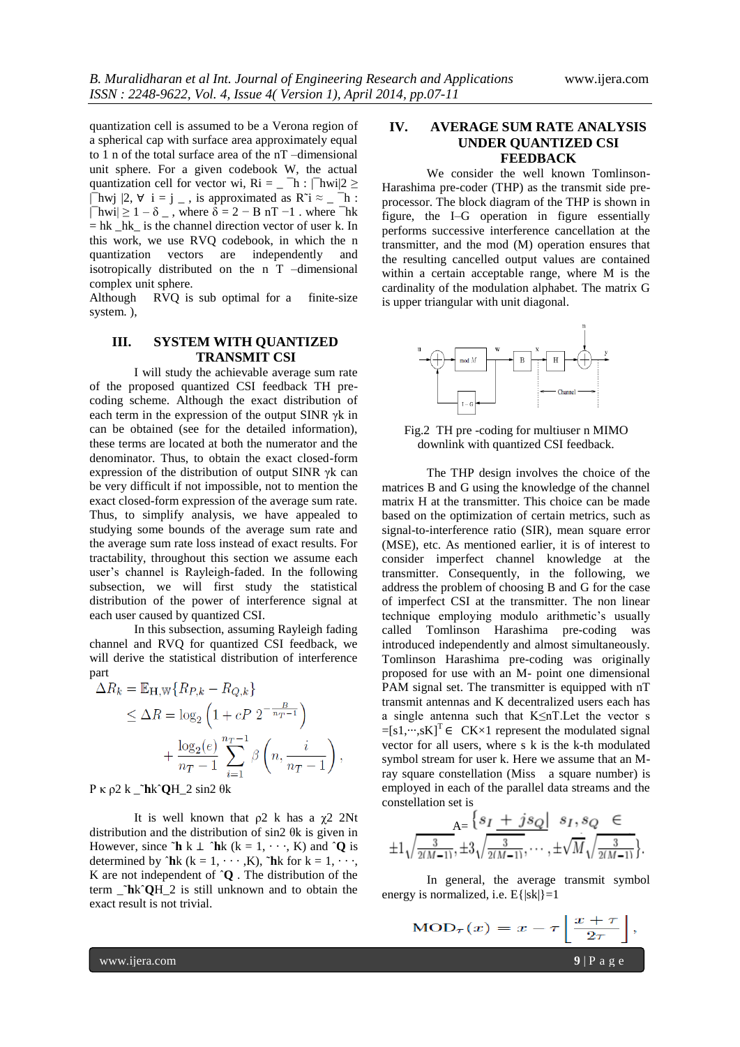quantization cell is assumed to be a Verona region of a spherical cap with surface area approximately equal to 1 n of the total surface area of the nT –dimensional unit sphere. For a given codebook W, the actual quantization cell for vector wi, Ri = \_  $^-\text{h}$  :  $|^-\text{hwi}|2 \geq$  $|\overline{\phantom{a}}|$ hwj  $|2, \forall i = j \, .$  is approximated as R<sup> $\hat{i} \approx \, -1$ </sup> :  $|\text{-1} - \delta| = 1 - \delta$ , where  $\delta = 2 - \delta$  nT  $-1$ . where  $\text{-}$ hk  $=$  hk hk is the channel direction vector of user k. In this work, we use RVQ codebook, in which the n quantization vectors are independently and isotropically distributed on the n T –dimensional complex unit sphere.

Although RVQ is sub optimal for a finite-size system. ),

## **III. SYSTEM WITH QUANTIZED TRANSMIT CSI**

I will study the achievable average sum rate of the proposed quantized CSI feedback TH precoding scheme. Although the exact distribution of each term in the expression of the output SINR γk in can be obtained (see for the detailed information), these terms are located at both the numerator and the denominator. Thus, to obtain the exact closed-form expression of the distribution of output SINR γk can be very difficult if not impossible, not to mention the exact closed-form expression of the average sum rate. Thus, to simplify analysis, we have appealed to studying some bounds of the average sum rate and the average sum rate loss instead of exact results. For tractability, throughout this section we assume each user's channel is Rayleigh-faded. In the following subsection, we will first study the statistical distribution of the power of interference signal at each user caused by quantized CSI.

In this subsection, assuming Rayleigh fading channel and RVQ for quantized CSI feedback, we will derive the statistical distribution of interference part

$$
\Delta R_k = \mathbb{E}_{\mathbf{H}, \mathbb{W}} \{ R_{P,k} - R_{Q,k} \}
$$
  
\n
$$
\leq \Delta R = \log_2 \left( 1 + cP \ 2^{-\frac{B}{n_T - 1}} \right)
$$
  
\n
$$
+ \frac{\log_2(e)}{n_T - 1} \sum_{i=1}^{n_T - 1} \beta \left( n, \frac{i}{n_T - 1} \right)
$$

P κ ρ2 k \_˜**h**kˆ**Q**H\_2 sin2 θk

It is well known that  $ρ2$  k has a  $χ2$  2Nt distribution and the distribution of sin2 θk is given in However, since  $\mathbf{\tilde{h}}$  k  $\perp$   $\mathbf{\hat{h}}$ k (k = 1, · · ·, K) and  $\mathbf{\hat{Q}}$  is determined by  $\hat{h}$ k (k = 1, · · · , K),  $\hat{h}$ k for k = 1, · · ·, K are not independent of ˆ**Q** . The distribution of the term \_˜**h**kˆ**Q**H\_2 is still unknown and to obtain the exact result is not trivial.

### **IV. AVERAGE SUM RATE ANALYSIS UNDER QUANTIZED CSI FEEDBACK**

We consider the well known Tomlinson-Harashima pre-coder (THP) as the transmit side preprocessor. The block diagram of the THP is shown in figure, the I–G operation in figure essentially performs successive interference cancellation at the transmitter, and the mod (M) operation ensures that the resulting cancelled output values are contained within a certain acceptable range, where M is the cardinality of the modulation alphabet. The matrix G is upper triangular with unit diagonal.



Fig.2 TH pre -coding for multiuser n MIMO downlink with quantized CSI feedback.

The THP design involves the choice of the matrices B and G using the knowledge of the channel matrix H at the transmitter. This choice can be made based on the optimization of certain metrics, such as signal-to-interference ratio (SIR), mean square error (MSE), etc. As mentioned earlier, it is of interest to consider imperfect channel knowledge at the transmitter. Consequently, in the following, we address the problem of choosing B and G for the case of imperfect CSI at the transmitter. The non linear technique employing modulo arithmetic's usually called Tomlinson Harashima pre-coding was introduced independently and almost simultaneously. Tomlinson Harashima pre-coding was originally proposed for use with an M- point one dimensional PAM signal set. The transmitter is equipped with nT transmit antennas and K decentralized users each has a single antenna such that K≤nT.Let the vector s  $=[s1, \dots, sK]^T \in C K \times 1$  represent the modulated signal vector for all users, where s k is the k-th modulated symbol stream for user k. Here we assume that an Mray square constellation (Miss a square number) is employed in each of the parallel data streams and the constellation set is

$$
\begin{array}{c}\n A = \frac{\{s_I \pm js_Q | \ s_I, s_Q \in \mathcal{A}_I\}}{s_I, s_Q \in \mathcal{A}_I} \\
\pm 1 \sqrt{\frac{3}{2(M-1)}, \pm 3 \sqrt{\frac{3}{2(M-1)}}, \cdots, \pm \sqrt{M} \sqrt{\frac{3}{2(M-1)}}\}.\n \end{array}
$$

In general, the average transmit symbol energy is normalized, i.e.  $E{|\mathbf{sk}|}$ =1

$$
\text{MOD}_{\tau}(x) = x - \tau \left\lfloor \frac{x + \tau}{2\tau} \right\rfloor,
$$

www.ijera.com **9** | P a g e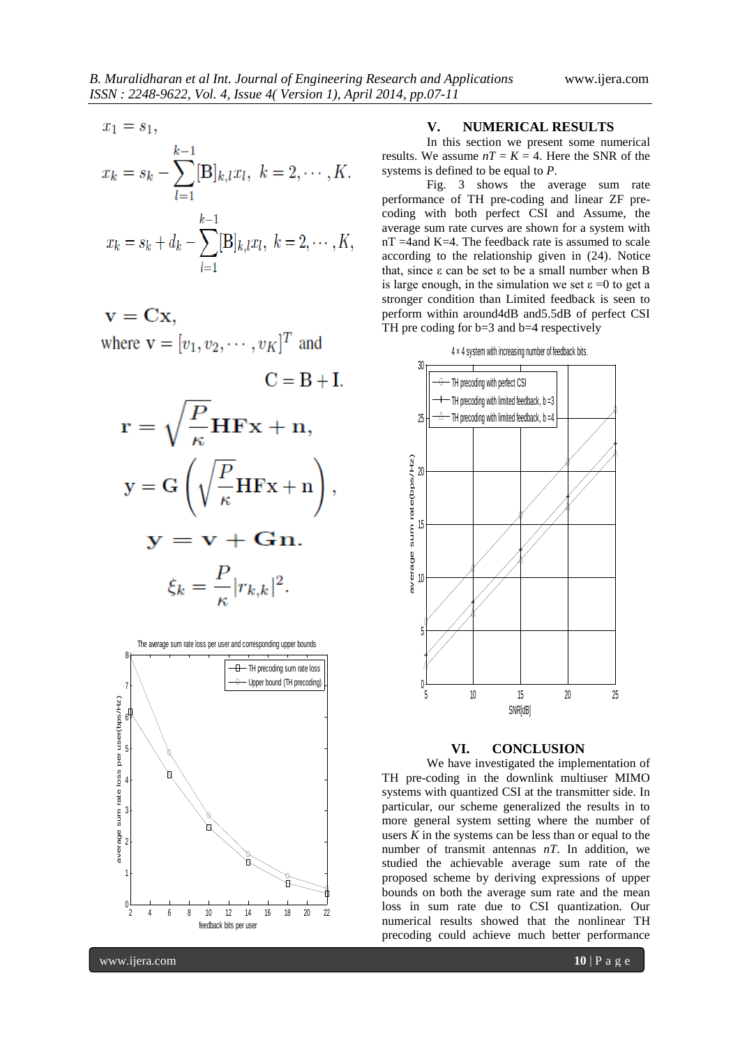$$
x_1 = s_1,
$$
  
\n
$$
x_k = s_k - \sum_{l=1}^{k-1} [\mathbf{B}]_{k,l} x_l, \ k = 2, \cdots, K
$$

$$
x_k = s_k + d_k - \sum_{l=1}^{\infty} [B]_{k,l} x_l, \ k = 2, \cdots, K,
$$

$$
\mathbf{v} = \mathbf{C}\mathbf{x},
$$
  
where  $\mathbf{v} = [v_1, v_2, \cdots, v_K]^T$  and

∼

$$
C = B + I.
$$
  
\n
$$
\mathbf{r} = \sqrt{\frac{P}{\kappa}} \mathbf{H} \mathbf{F} \mathbf{x} + \mathbf{n},
$$
  
\n
$$
\mathbf{y} = G\left(\sqrt{\frac{P}{\kappa}} \mathbf{H} \mathbf{F} \mathbf{x} + \mathbf{n}\right),
$$
  
\n
$$
\mathbf{y} = \mathbf{v} + \mathbf{G} \mathbf{n}.
$$
  
\n
$$
\xi_k = \frac{P}{\kappa} |r_{k,k}|^2.
$$

The average sum rate loss per user and corresponding upper bounds 8¢ TH precoding sum rate loss Upper bound (TH precoding) 71 average sum rate loss per user(bps/Hz) average sum rate loss per user(bps/Hz) ٥F 5 F 4ኮ 3F ۷٢ 1 F ر آ 2 4 6 8 10 12 14 16 18 20 22 feedback bits per user

#### **V. NUMERICAL RESULTS**

In this section we present some numerical results. We assume  $nT = K = 4$ . Here the SNR of the systems is defined to be equal to *P*.

Fig. 3 shows the average sum rate performance of TH pre-coding and linear ZF precoding with both perfect CSI and Assume, the average sum rate curves are shown for a system with nT =4and K=4. The feedback rate is assumed to scale according to the relationship given in (24). Notice that, since ε can be set to be a small number when B is large enough, in the simulation we set  $\varepsilon = 0$  to get a stronger condition than Limited feedback is seen to perform within around4dB and5.5dB of perfect CSI TH pre coding for  $b=3$  and  $b=4$  respectively



#### **VI. CONCLUSION**

We have investigated the implementation of TH pre-coding in the downlink multiuser MIMO systems with quantized CSI at the transmitter side. In particular, our scheme generalized the results in to more general system setting where the number of users  $K$  in the systems can be less than or equal to the number of transmit antennas *nT*. In addition, we studied the achievable average sum rate of the proposed scheme by deriving expressions of upper bounds on both the average sum rate and the mean loss in sum rate due to CSI quantization. Our numerical results showed that the nonlinear TH precoding could achieve much better performance